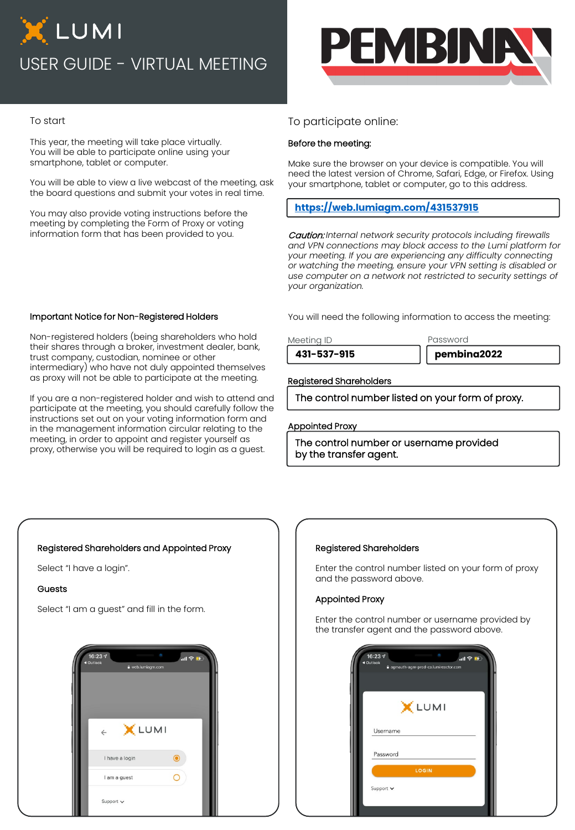# XLUMI USER GUIDE - VIRTUAL MEETING



## To start

This year, the meeting will take place virtually. You will be able to participate online using your smartphone, tablet or computer.

You will be able to view a live webcast of the meeting, ask the board questions and submit your votes in real time.

You may also provide voting instructions before the meeting by completing the Form of Proxy or voting information form that has been provided to you.

# To participate online:

## Before the meeting:

Make sure the browser on your device is compatible. You will need the latest version of Chrome, Safari, Edge, or Firefox. Using your smartphone, tablet or computer, go to this address.

# **<https://web.lumiagm.com/431537915>**

Caution: *Internal network security protocols including firewalls and VPN connections may block access to the Lumi platform for your meeting. If you are experiencing any difficulty connecting or watching the meeting, ensure your VPN setting is disabled or use computer on a network not restricted to security settings of your organization.*

You will need the following information to access the meeting:

Meeting ID **Password** 

**431-537-915 pembina2022**

## Registered Shareholders

The control number listed on your form of proxy.

### Appointed Proxy

The control number or username provided by the transfer agent.

## Important Notice for Non-Registered Holders

Non-registered holders (being shareholders who hold their shares through a broker, investment dealer, bank, trust company, custodian, nominee or other intermediary) who have not duly appointed themselves as proxy will not be able to participate at the meeting.

If you are a non-registered holder and wish to attend and participate at the meeting, you should carefully follow the instructions set out on your voting information form and in the management information circular relating to the meeting, in order to appoint and register yourself as proxy, otherwise you will be required to login as a guest.

# Registered Shareholders and Appointed Proxy

Select "I have a login".

### Guests

Select "I am a guest" and fill in the form.



### Registered Shareholders

Enter the control number listed on your form of proxy and the password above.

### Appointed Proxy

Enter the control number or username provided by the transfer agent and the password above.

| 16:234<br>◀ Outlook | $\mathbf{H} \in \mathbb{R}$<br>a agmauth-agm-prod-ca.lumireactor.com |  |
|---------------------|----------------------------------------------------------------------|--|
|                     | X LUMI                                                               |  |
| Username            |                                                                      |  |
| Password            |                                                                      |  |
|                     | LOGIN                                                                |  |
| Support v           |                                                                      |  |